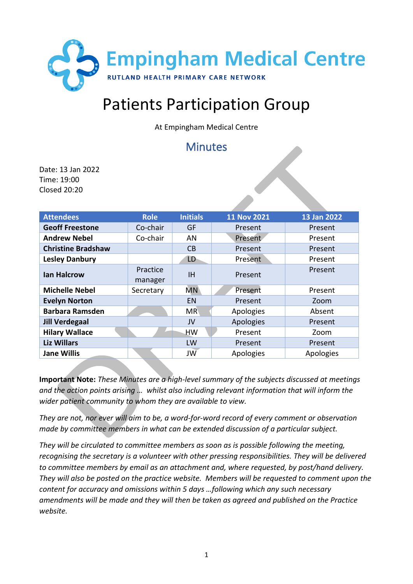

# Patients Participation Group

At Empingham Medical Centre

## Minutes

Date: 13 Jan 2022 Time: 19:00 Closed 20:20

| <b>Attendees</b>          | <b>Role</b>         | <b>Initials</b> | 11 Nov 2021 | 13 Jan 2022 |
|---------------------------|---------------------|-----------------|-------------|-------------|
| <b>Geoff Freestone</b>    | Co-chair            | <b>GF</b>       | Present     | Present     |
| <b>Andrew Nebel</b>       | Co-chair            | AN              | Present     | Present     |
| <b>Christine Bradshaw</b> |                     | CB              | Present     | Present     |
| <b>Lesley Danbury</b>     |                     | LD              | Present     | Present     |
| <b>Ian Halcrow</b>        | Practice<br>manager | <b>IH</b>       | Present     | Present     |
| <b>Michelle Nebel</b>     | Secretary           | <b>MN</b>       | Present     | Present     |
| <b>Evelyn Norton</b>      |                     | EN              | Present     | Zoom        |
| <b>Barbara Ramsden</b>    |                     | <b>MR</b>       | Apologies   | Absent      |
| <b>Jill Verdegaal</b>     |                     | JV              | Apologies   | Present     |
| <b>Hilary Wallace</b>     |                     | HW              | Present     | Zoom        |
| <b>Liz Willars</b>        |                     | LW              | Present     | Present     |
| <b>Jane Willis</b>        |                     | JW              | Apologies   | Apologies   |

**Important Note:** *These Minutes are a high-level summary of the subjects discussed at meetings and the action points arising … whilst also including relevant information that will inform the wider patient community to whom they are available to view.*

*They are not, nor ever will aim to be, a word-for-word record of every comment or observation made by committee members in what can be extended discussion of a particular subject.*

*They will be circulated to committee members as soon as is possible following the meeting, recognising the secretary is a volunteer with other pressing responsibilities. They will be delivered to committee members by email as an attachment and, where requested, by post/hand delivery. They will also be posted on the practice website. Members will be requested to comment upon the content for accuracy and omissions within 5 days …following which any such necessary amendments will be made and they will then be taken as agreed and published on the Practice website.*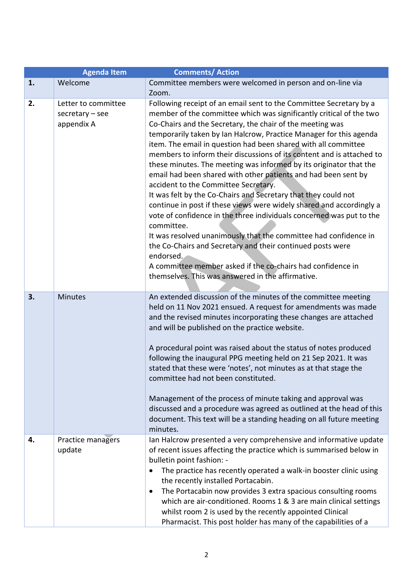|    | <b>Agenda Item</b>                                     | <b>Comments/ Action</b>                                                                                                                                                                                                                                                                                                                                                                                                                                                                                                                                                                                                                                                                                                                                                                                                                                                                                                                                                                                                                                                                                    |
|----|--------------------------------------------------------|------------------------------------------------------------------------------------------------------------------------------------------------------------------------------------------------------------------------------------------------------------------------------------------------------------------------------------------------------------------------------------------------------------------------------------------------------------------------------------------------------------------------------------------------------------------------------------------------------------------------------------------------------------------------------------------------------------------------------------------------------------------------------------------------------------------------------------------------------------------------------------------------------------------------------------------------------------------------------------------------------------------------------------------------------------------------------------------------------------|
| 1. | Welcome                                                | Committee members were welcomed in person and on-line via                                                                                                                                                                                                                                                                                                                                                                                                                                                                                                                                                                                                                                                                                                                                                                                                                                                                                                                                                                                                                                                  |
|    |                                                        | Zoom.                                                                                                                                                                                                                                                                                                                                                                                                                                                                                                                                                                                                                                                                                                                                                                                                                                                                                                                                                                                                                                                                                                      |
| 2. | Letter to committee<br>$secretary - see$<br>appendix A | Following receipt of an email sent to the Committee Secretary by a<br>member of the committee which was significantly critical of the two<br>Co-Chairs and the Secretary, the chair of the meeting was<br>temporarily taken by Ian Halcrow, Practice Manager for this agenda<br>item. The email in question had been shared with all committee<br>members to inform their discussions of its content and is attached to<br>these minutes. The meeting was informed by its originator that the<br>email had been shared with other patients and had been sent by<br>accident to the Committee Secretary.<br>It was felt by the Co-Chairs and Secretary that they could not<br>continue in post if these views were widely shared and accordingly a<br>vote of confidence in the three individuals concerned was put to the<br>committee.<br>It was resolved unanimously that the committee had confidence in<br>the Co-Chairs and Secretary and their continued posts were<br>endorsed.<br>A committee member asked if the co-chairs had confidence in<br>themselves. This was answered in the affirmative. |
| 3. | <b>Minutes</b>                                         | An extended discussion of the minutes of the committee meeting<br>held on 11 Nov 2021 ensued. A request for amendments was made<br>and the revised minutes incorporating these changes are attached<br>and will be published on the practice website.<br>A procedural point was raised about the status of notes produced<br>following the inaugural PPG meeting held on 21 Sep 2021. It was<br>stated that these were 'notes', not minutes as at that stage the<br>committee had not been constituted.<br>Management of the process of minute taking and approval was<br>discussed and a procedure was agreed as outlined at the head of this<br>document. This text will be a standing heading on all future meeting<br>minutes.                                                                                                                                                                                                                                                                                                                                                                         |
| 4. | Practice managers<br>update                            | Ian Halcrow presented a very comprehensive and informative update<br>of recent issues affecting the practice which is summarised below in<br>bulletin point fashion: -<br>The practice has recently operated a walk-in booster clinic using<br>$\bullet$<br>the recently installed Portacabin.<br>The Portacabin now provides 3 extra spacious consulting rooms<br>$\bullet$<br>which are air-conditioned. Rooms 1 & 3 are main clinical settings<br>whilst room 2 is used by the recently appointed Clinical<br>Pharmacist. This post holder has many of the capabilities of a                                                                                                                                                                                                                                                                                                                                                                                                                                                                                                                            |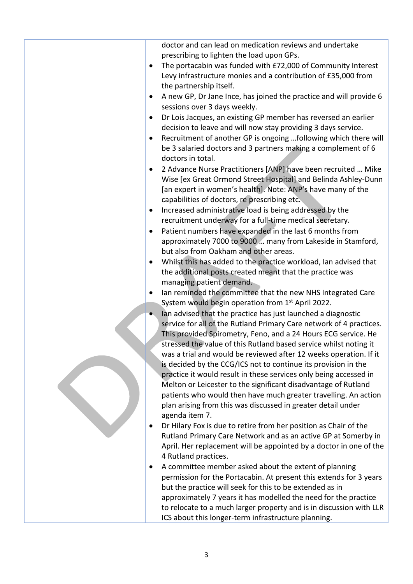| doctor and can lead on medication reviews and undertake                         |
|---------------------------------------------------------------------------------|
| prescribing to lighten the load upon GPs.                                       |
| The portacabin was funded with £72,000 of Community Interest<br>$\bullet$       |
| Levy infrastructure monies and a contribution of £35,000 from                   |
| the partnership itself.                                                         |
| A new GP, Dr Jane Ince, has joined the practice and will provide 6<br>$\bullet$ |
| sessions over 3 days weekly.                                                    |
| Dr Lois Jacques, an existing GP member has reversed an earlier<br>$\bullet$     |
| decision to leave and will now stay providing 3 days service.                   |
| Recruitment of another GP is ongoing following which there will<br>$\bullet$    |
| be 3 salaried doctors and 3 partners making a complement of 6                   |
| doctors in total.                                                               |
| 2 Advance Nurse Practitioners [ANP] have been recruited  Mike<br>$\bullet$      |
| Wise [ex Great Ormond Street Hospital] and Belinda Ashley-Dunn                  |
| [an expert in women's health]. Note: ANP's have many of the                     |
| capabilities of doctors, re prescribing etc.                                    |
| Increased administrative load is being addressed by the<br>$\bullet$            |
| recruitment underway for a full-time medical secretary.                         |
| Patient numbers have expanded in the last 6 months from<br>$\bullet$            |
| approximately 7000 to 9000  many from Lakeside in Stamford,                     |
| but also from Oakham and other areas.                                           |
| Whilst this has added to the practice workload, Ian advised that<br>$\bullet$   |
| the additional posts created meant that the practice was                        |
| managing patient demand.                                                        |
| Ian reminded the committee that the new NHS Integrated Care<br>$\bullet$        |
| System would begin operation from 1 <sup>st</sup> April 2022.                   |
| Ian advised that the practice has just launched a diagnostic                    |
| service for all of the Rutland Primary Care network of 4 practices.             |
| This provided Spirometry, Feno, and a 24 Hours ECG service. He                  |
| stressed the value of this Rutland based service whilst noting it               |
| was a trial and would be reviewed after 12 weeks operation. If it               |
| is decided by the CCG/ICS not to continue its provision in the                  |
| practice it would result in these services only being accessed in               |
| Melton or Leicester to the significant disadvantage of Rutland                  |
| patients who would then have much greater travelling. An action                 |
| plan arising from this was discussed in greater detail under                    |
| agenda item 7.                                                                  |
| Dr Hilary Fox is due to retire from her position as Chair of the<br>٠           |
| Rutland Primary Care Network and as an active GP at Somerby in                  |
| April. Her replacement will be appointed by a doctor in one of the              |
| 4 Rutland practices.                                                            |
| A committee member asked about the extent of planning<br>٠                      |
| permission for the Portacabin. At present this extends for 3 years              |
| but the practice will seek for this to be extended as in                        |
| approximately 7 years it has modelled the need for the practice                 |
| to relocate to a much larger property and is in discussion with LLR             |
| ICS about this longer-term infrastructure planning.                             |
|                                                                                 |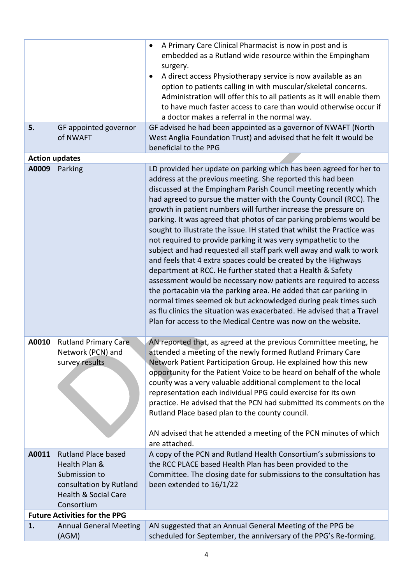|       |                                                                                                                                          | A Primary Care Clinical Pharmacist is now in post and is<br>$\bullet$<br>embedded as a Rutland wide resource within the Empingham<br>surgery.                                                                                                                                                                                                                                                                                                                                                                                                                                                                                                                                                                                                                                                                                                                                                                                                                                                                                                                                                                                    |
|-------|------------------------------------------------------------------------------------------------------------------------------------------|----------------------------------------------------------------------------------------------------------------------------------------------------------------------------------------------------------------------------------------------------------------------------------------------------------------------------------------------------------------------------------------------------------------------------------------------------------------------------------------------------------------------------------------------------------------------------------------------------------------------------------------------------------------------------------------------------------------------------------------------------------------------------------------------------------------------------------------------------------------------------------------------------------------------------------------------------------------------------------------------------------------------------------------------------------------------------------------------------------------------------------|
|       |                                                                                                                                          | A direct access Physiotherapy service is now available as an<br>option to patients calling in with muscular/skeletal concerns.<br>Administration will offer this to all patients as it will enable them<br>to have much faster access to care than would otherwise occur if<br>a doctor makes a referral in the normal way.                                                                                                                                                                                                                                                                                                                                                                                                                                                                                                                                                                                                                                                                                                                                                                                                      |
| 5.    | GF appointed governor<br>of NWAFT                                                                                                        | GF advised he had been appointed as a governor of NWAFT (North<br>West Anglia Foundation Trust) and advised that he felt it would be<br>beneficial to the PPG                                                                                                                                                                                                                                                                                                                                                                                                                                                                                                                                                                                                                                                                                                                                                                                                                                                                                                                                                                    |
|       | <b>Action updates</b>                                                                                                                    |                                                                                                                                                                                                                                                                                                                                                                                                                                                                                                                                                                                                                                                                                                                                                                                                                                                                                                                                                                                                                                                                                                                                  |
| A0009 | Parking                                                                                                                                  | LD provided her update on parking which has been agreed for her to<br>address at the previous meeting. She reported this had been<br>discussed at the Empingham Parish Council meeting recently which<br>had agreed to pursue the matter with the County Council (RCC). The<br>growth in patient numbers will further increase the pressure on<br>parking. It was agreed that photos of car parking problems would be<br>sought to illustrate the issue. IH stated that whilst the Practice was<br>not required to provide parking it was very sympathetic to the<br>subject and had requested all staff park well away and walk to work<br>and feels that 4 extra spaces could be created by the Highways<br>department at RCC. He further stated that a Health & Safety<br>assessment would be necessary now patients are required to access<br>the portacabin via the parking area. He added that car parking in<br>normal times seemed ok but acknowledged during peak times such<br>as flu clinics the situation was exacerbated. He advised that a Travel<br>Plan for access to the Medical Centre was now on the website. |
| A0010 | <b>Rutland Primary Care</b><br>Network (PCN) and<br>survey results                                                                       | AN reported that, as agreed at the previous Committee meeting, he<br>attended a meeting of the newly formed Rutland Primary Care<br>Network Patient Participation Group. He explained how this new<br>opportunity for the Patient Voice to be heard on behalf of the whole<br>county was a very valuable additional complement to the local<br>representation each individual PPG could exercise for its own<br>practice. He advised that the PCN had submitted its comments on the<br>Rutland Place based plan to the county council.<br>AN advised that he attended a meeting of the PCN minutes of which<br>are attached.                                                                                                                                                                                                                                                                                                                                                                                                                                                                                                     |
| A0011 | <b>Rutland Place based</b><br>Health Plan &<br>Submission to<br>consultation by Rutland<br><b>Health &amp; Social Care</b><br>Consortium | A copy of the PCN and Rutland Health Consortium's submissions to<br>the RCC PLACE based Health Plan has been provided to the<br>Committee. The closing date for submissions to the consultation has<br>been extended to 16/1/22                                                                                                                                                                                                                                                                                                                                                                                                                                                                                                                                                                                                                                                                                                                                                                                                                                                                                                  |
|       | <b>Future Activities for the PPG</b>                                                                                                     |                                                                                                                                                                                                                                                                                                                                                                                                                                                                                                                                                                                                                                                                                                                                                                                                                                                                                                                                                                                                                                                                                                                                  |
| 1.    | <b>Annual General Meeting</b><br>(AGM)                                                                                                   | AN suggested that an Annual General Meeting of the PPG be<br>scheduled for September, the anniversary of the PPG's Re-forming.                                                                                                                                                                                                                                                                                                                                                                                                                                                                                                                                                                                                                                                                                                                                                                                                                                                                                                                                                                                                   |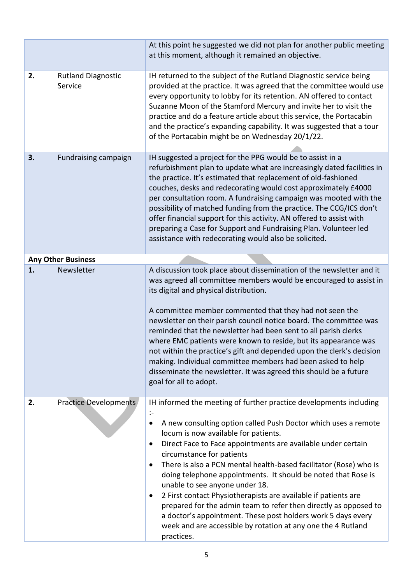|    |                                      | At this point he suggested we did not plan for another public meeting<br>at this moment, although it remained an objective.                                                                                                                                                                                                                                                                                                                                                                                                                                                                                                                                                                                                                                                                                |
|----|--------------------------------------|------------------------------------------------------------------------------------------------------------------------------------------------------------------------------------------------------------------------------------------------------------------------------------------------------------------------------------------------------------------------------------------------------------------------------------------------------------------------------------------------------------------------------------------------------------------------------------------------------------------------------------------------------------------------------------------------------------------------------------------------------------------------------------------------------------|
| 2. | <b>Rutland Diagnostic</b><br>Service | IH returned to the subject of the Rutland Diagnostic service being<br>provided at the practice. It was agreed that the committee would use<br>every opportunity to lobby for its retention. AN offered to contact<br>Suzanne Moon of the Stamford Mercury and invite her to visit the<br>practice and do a feature article about this service, the Portacabin<br>and the practice's expanding capability. It was suggested that a tour<br>of the Portacabin might be on Wednesday 20/1/22.                                                                                                                                                                                                                                                                                                                 |
| 3. | <b>Fundraising campaign</b>          | IH suggested a project for the PPG would be to assist in a<br>refurbishment plan to update what are increasingly dated facilities in<br>the practice. It's estimated that replacement of old-fashioned<br>couches, desks and redecorating would cost approximately £4000<br>per consultation room. A fundraising campaign was mooted with the<br>possibility of matched funding from the practice. The CCG/ICS don't<br>offer financial support for this activity. AN offered to assist with<br>preparing a Case for Support and Fundraising Plan. Volunteer led<br>assistance with redecorating would also be solicited.                                                                                                                                                                                  |
|    | <b>Any Other Business</b>            |                                                                                                                                                                                                                                                                                                                                                                                                                                                                                                                                                                                                                                                                                                                                                                                                            |
| 1. | Newsletter                           | A discussion took place about dissemination of the newsletter and it<br>was agreed all committee members would be encouraged to assist in<br>its digital and physical distribution.<br>A committee member commented that they had not seen the<br>newsletter on their parish council notice board. The committee was<br>reminded that the newsletter had been sent to all parish clerks<br>where EMC patients were known to reside, but its appearance was<br>not within the practice's gift and depended upon the clerk's decision<br>making. Individual committee members had been asked to help<br>disseminate the newsletter. It was agreed this should be a future<br>goal for all to adopt.                                                                                                          |
| 2. | Practice Developments                | IH informed the meeting of further practice developments including<br>$\mathcal{L}$<br>A new consulting option called Push Doctor which uses a remote<br>$\bullet$<br>locum is now available for patients.<br>Direct Face to Face appointments are available under certain<br>$\bullet$<br>circumstance for patients<br>There is also a PCN mental health-based facilitator (Rose) who is<br>$\bullet$<br>doing telephone appointments. It should be noted that Rose is<br>unable to see anyone under 18.<br>2 First contact Physiotherapists are available if patients are<br>$\bullet$<br>prepared for the admin team to refer then directly as opposed to<br>a doctor's appointment. These post holders work 5 days every<br>week and are accessible by rotation at any one the 4 Rutland<br>practices. |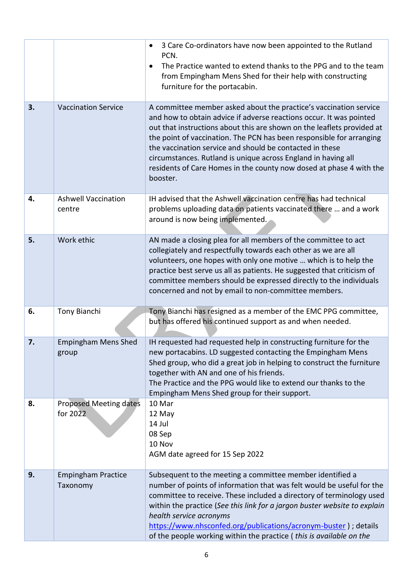|    |                                       | 3 Care Co-ordinators have now been appointed to the Rutland<br>$\bullet$<br>PCN.<br>The Practice wanted to extend thanks to the PPG and to the team<br>$\bullet$<br>from Empingham Mens Shed for their help with constructing<br>furniture for the portacabin.                                                                                                                                                                                                                                             |
|----|---------------------------------------|------------------------------------------------------------------------------------------------------------------------------------------------------------------------------------------------------------------------------------------------------------------------------------------------------------------------------------------------------------------------------------------------------------------------------------------------------------------------------------------------------------|
| 3. | <b>Vaccination Service</b>            | A committee member asked about the practice's vaccination service<br>and how to obtain advice if adverse reactions occur. It was pointed<br>out that instructions about this are shown on the leaflets provided at<br>the point of vaccination. The PCN has been responsible for arranging<br>the vaccination service and should be contacted in these<br>circumstances. Rutland is unique across England in having all<br>residents of Care Homes in the county now dosed at phase 4 with the<br>booster. |
| 4. | <b>Ashwell Vaccination</b><br>centre  | IH advised that the Ashwell vaccination centre has had technical<br>problems uploading data on patients vaccinated there  and a work<br>around is now being implemented.                                                                                                                                                                                                                                                                                                                                   |
| 5. | Work ethic                            | AN made a closing plea for all members of the committee to act<br>collegiately and respectfully towards each other as we are all<br>volunteers, one hopes with only one motive  which is to help the<br>practice best serve us all as patients. He suggested that criticism of<br>committee members should be expressed directly to the individuals<br>concerned and not by email to non-committee members.                                                                                                |
| 6. | Tony Bianchi                          | Tony Bianchi has resigned as a member of the EMC PPG committee,<br>but has offered his continued support as and when needed.                                                                                                                                                                                                                                                                                                                                                                               |
| 7. | <b>Empingham Mens Shed</b><br>group   | IH requested had requested help in constructing furniture for the<br>new portacabins. LD suggested contacting the Empingham Mens<br>Shed group, who did a great job in helping to construct the furniture<br>together with AN and one of his friends.<br>The Practice and the PPG would like to extend our thanks to the<br>Empingham Mens Shed group for their support.                                                                                                                                   |
| 8. | Proposed Meeting dates<br>for 2022    | 10 Mar<br>12 May<br>14 Jul<br>08 Sep<br>10 Nov<br>AGM date agreed for 15 Sep 2022                                                                                                                                                                                                                                                                                                                                                                                                                          |
| 9. | <b>Empingham Practice</b><br>Taxonomy | Subsequent to the meeting a committee member identified a<br>number of points of information that was felt would be useful for the<br>committee to receive. These included a directory of terminology used<br>within the practice (See this link for a jargon buster website to explain<br>health service acronyms<br>https://www.nhsconfed.org/publications/acronym-buster ) ; details<br>of the people working within the practice (this is available on the                                             |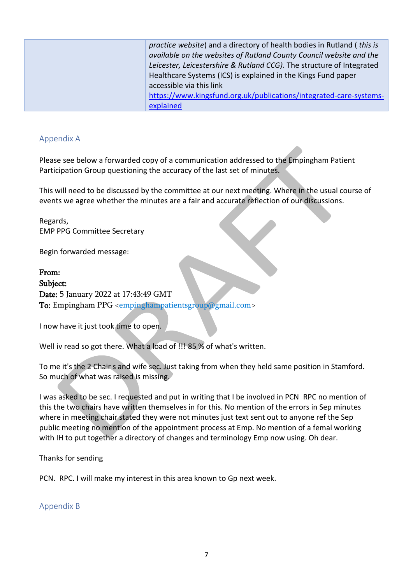| <i>practice website</i> ) and a directory of health bodies in Rutland ( <i>this is</i> |
|----------------------------------------------------------------------------------------|
| available on the websites of Rutland County Council website and the                    |
| Leicester, Leicestershire & Rutland CCG). The structure of Integrated                  |
| Healthcare Systems (ICS) is explained in the Kings Fund paper                          |
| accessible via this link                                                               |
| https://www.kingsfund.org.uk/publications/integrated-care-systems-                     |
| explained                                                                              |

#### Appendix A

Please see below a forwarded copy of a communication addressed to the Empingham Patient Participation Group questioning the accuracy of the last set of minutes.

This will need to be discussed by the committee at our next meeting. Where in the usual course of events we agree whether the minutes are a fair and accurate reflection of our discussions.

Regards, EMP PPG Committee Secretary

Begin forwarded message:

From: Subject: Date: 5 January 2022 at 17:43:49 GMT To: Empingham PPG [<empinghampatientsgroup@gmail.com>](mailto:empinghampatientsgroup@gmail.com)

I now have it just took time to open.

Well iv read so got there. What a load of !!! 85 % of what's written.

To me it's the 2 Chair s and wife sec. Just taking from when they held same position in Stamford. So much of what was raised is missing.

I was asked to be sec. I requested and put in writing that I be involved in PCN RPC no mention of this the two chairs have written themselves in for this. No mention of the errors in Sep minutes where in meeting chair stated they were not minutes just text sent out to anyone ref the Sep public meeting no mention of the appointment process at Emp. No mention of a femal working with IH to put together a directory of changes and terminology Emp now using. Oh dear.

Thanks for sending

PCN. RPC. I will make my interest in this area known to Gp next week.

Appendix B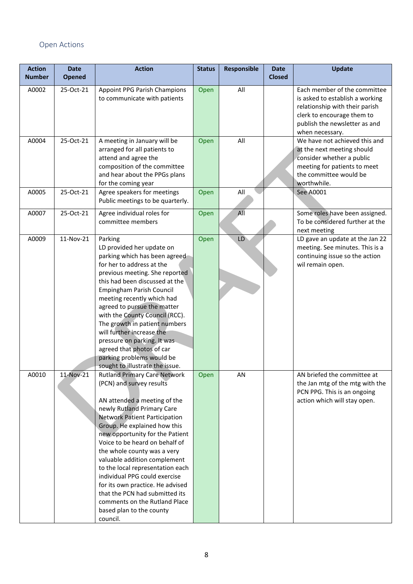## Open Actions

| <b>Action</b><br><b>Number</b> | <b>Date</b><br><b>Opened</b> | <b>Action</b>                                                                                                                                                                                                                                                                                                                                                                                                                                                                                                                                                 | <b>Status</b> | <b>Responsible</b> | <b>Date</b><br><b>Closed</b> | <b>Update</b>                                                                                                                                                                       |
|--------------------------------|------------------------------|---------------------------------------------------------------------------------------------------------------------------------------------------------------------------------------------------------------------------------------------------------------------------------------------------------------------------------------------------------------------------------------------------------------------------------------------------------------------------------------------------------------------------------------------------------------|---------------|--------------------|------------------------------|-------------------------------------------------------------------------------------------------------------------------------------------------------------------------------------|
| A0002                          | 25-Oct-21                    | Appoint PPG Parish Champions<br>to communicate with patients                                                                                                                                                                                                                                                                                                                                                                                                                                                                                                  | Open          | All                |                              | Each member of the committee<br>is asked to establish a working<br>relationship with their parish<br>clerk to encourage them to<br>publish the newsletter as and<br>when necessary. |
| A0004                          | 25-Oct-21                    | A meeting in January will be<br>arranged for all patients to<br>attend and agree the<br>composition of the committee<br>and hear about the PPGs plans<br>for the coming year                                                                                                                                                                                                                                                                                                                                                                                  | Open          | All                |                              | We have not achieved this and<br>at the next meeting should<br>consider whether a public<br>meeting for patients to meet<br>the committee would be<br>worthwhile.                   |
| A0005                          | 25-Oct-21                    | Agree speakers for meetings<br>Public meetings to be quarterly.                                                                                                                                                                                                                                                                                                                                                                                                                                                                                               | Open          | All                |                              | See A0001                                                                                                                                                                           |
| A0007                          | 25-Oct-21                    | Agree individual roles for<br>committee members                                                                                                                                                                                                                                                                                                                                                                                                                                                                                                               | Open          | A <sub>1</sub>     |                              | Some roles have been assigned.<br>To be considered further at the<br>next meeting                                                                                                   |
| A0009                          | 11-Nov-21                    | Parking<br>LD provided her update on<br>parking which has been agreed<br>for her to address at the<br>previous meeting. She reported<br>this had been discussed at the<br>Empingham Parish Council<br>meeting recently which had<br>agreed to pursue the matter<br>with the County Council (RCC).<br>The growth in patient numbers<br>will further increase the<br>pressure on parking. It was<br>agreed that photos of car<br>parking problems would be<br>sought to illustrate the issue.                                                                   | Open          | LD                 |                              | LD gave an update at the Jan 22<br>meeting. See minutes. This is a<br>continuing issue so the action<br>wil remain open.                                                            |
| A0010                          | 11-Nov-21                    | <b>Rutland Primary Care Network</b><br>(PCN) and survey results<br>AN attended a meeting of the<br>newly Rutland Primary Care<br><b>Network Patient Participation</b><br>Group. He explained how this<br>new opportunity for the Patient<br>Voice to be heard on behalf of<br>the whole county was a very<br>valuable addition complement<br>to the local representation each<br>individual PPG could exercise<br>for its own practice. He advised<br>that the PCN had submitted its<br>comments on the Rutland Place<br>based plan to the county<br>council. | Open          | AN                 |                              | AN briefed the committee at<br>the Jan mtg of the mtg with the<br>PCN PPG. This is an ongoing<br>action which will stay open.                                                       |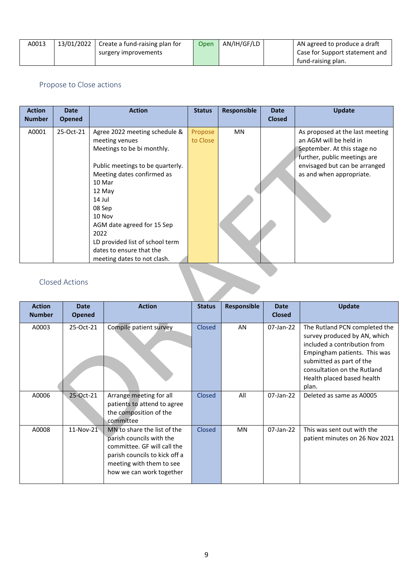| A0013 | 13/01/2022 $\vert$ Create a fund-raising plan for | Open | AN/IH/GF/LD | AN agreed to produce a draft   |
|-------|---------------------------------------------------|------|-------------|--------------------------------|
|       | surgery improvements                              |      |             | Case for Support statement and |
|       |                                                   |      |             | fund-raising plan.             |

#### Propose to Close actions

| <b>Action</b><br><b>Number</b> | <b>Date</b><br><b>Opened</b> | <b>Action</b>                                                                                                                                                                                                                                                                                                                         | <b>Status</b>       | Responsible | <b>Date</b><br><b>Closed</b> | <b>Update</b>                                                                                                                                                                         |  |
|--------------------------------|------------------------------|---------------------------------------------------------------------------------------------------------------------------------------------------------------------------------------------------------------------------------------------------------------------------------------------------------------------------------------|---------------------|-------------|------------------------------|---------------------------------------------------------------------------------------------------------------------------------------------------------------------------------------|--|
| A0001                          | 25-Oct-21                    | Agree 2022 meeting schedule &<br>meeting venues<br>Meetings to be bi monthly.<br>Public meetings to be quarterly.<br>Meeting dates confirmed as<br>10 Mar<br>12 May<br>14 Jul<br>08 Sep<br>10 Nov<br>AGM date agreed for 15 Sep<br>2022<br>LD provided list of school term<br>dates to ensure that the<br>meeting dates to not clash. | Propose<br>to Close | MN          |                              | As proposed at the last meeting<br>an AGM will be held in<br>September. At this stage no<br>further, public meetings are<br>envisaged but can be arranged<br>as and when appropriate. |  |
|                                | <b>Closed Actions</b>        |                                                                                                                                                                                                                                                                                                                                       |                     |             |                              |                                                                                                                                                                                       |  |

### Closed Actions

| <b>Action</b> | <b>Date</b>   | <b>Action</b>                                                                                                                                                                   | <b>Status</b> | <b>Responsible</b> | <b>Date</b>   | <b>Update</b>                                                                                                                                                                                                                   |  |  |
|---------------|---------------|---------------------------------------------------------------------------------------------------------------------------------------------------------------------------------|---------------|--------------------|---------------|---------------------------------------------------------------------------------------------------------------------------------------------------------------------------------------------------------------------------------|--|--|
| <b>Number</b> | <b>Opened</b> |                                                                                                                                                                                 |               |                    | <b>Closed</b> |                                                                                                                                                                                                                                 |  |  |
| A0003         | 25-Oct-21     | Compile patient survey                                                                                                                                                          | Closed        | AN                 | 07-Jan-22     | The Rutland PCN completed the<br>survey produced by AN, which<br>included a contribution from<br>Empingham patients. This was<br>submitted as part of the<br>consultation on the Rutland<br>Health placed based health<br>plan. |  |  |
| A0006         | 25-Oct-21     | Arrange meeting for all<br>patients to attend to agree<br>the composition of the<br>committee                                                                                   | Closed        | All                | 07-Jan-22     | Deleted as same as A0005                                                                                                                                                                                                        |  |  |
| A0008         | $11-Nov-21$   | MN to share the list of the<br>parish councils with the<br>committee. GF will call the<br>parish councils to kick off a<br>meeting with them to see<br>how we can work together | Closed        | <b>MN</b>          | $07$ -Jan-22  | This was sent out with the<br>patient minutes on 26 Nov 2021                                                                                                                                                                    |  |  |